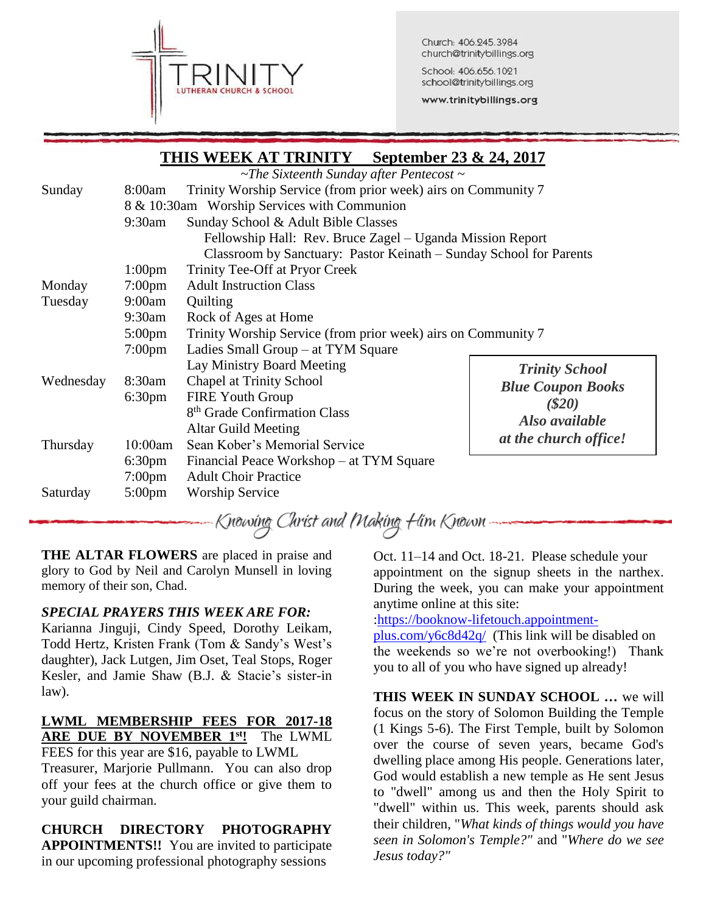

Church: 406.245.3984 church@trinitybillings.org

School: 406.656.1021 school@trinitybillings.org

www.trinitybillings.org

|           |                                             | THID WEEN AT TIMPLET                                               |                          |  |  |  |
|-----------|---------------------------------------------|--------------------------------------------------------------------|--------------------------|--|--|--|
|           |                                             | $\sim$ The Sixteenth Sunday after Pentecost $\sim$                 |                          |  |  |  |
| Sunday    | 8:00am                                      | Trinity Worship Service (from prior week) airs on Community 7      |                          |  |  |  |
|           | 8 & 10:30am Worship Services with Communion |                                                                    |                          |  |  |  |
|           | 9:30am                                      | Sunday School & Adult Bible Classes                                |                          |  |  |  |
|           |                                             | Fellowship Hall: Rev. Bruce Zagel - Uganda Mission Report          |                          |  |  |  |
|           |                                             | Classroom by Sanctuary: Pastor Keinath – Sunday School for Parents |                          |  |  |  |
|           | 1:00 <sub>pm</sub>                          | Trinity Tee-Off at Pryor Creek                                     |                          |  |  |  |
| Monday    | $7:00 \text{pm}$                            | <b>Adult Instruction Class</b>                                     |                          |  |  |  |
| Tuesday   | 9:00am                                      | Quilting                                                           |                          |  |  |  |
|           | 9:30am                                      | Rock of Ages at Home                                               |                          |  |  |  |
|           | $5:00 \text{pm}$                            | Trinity Worship Service (from prior week) airs on Community 7      |                          |  |  |  |
|           | $7:00 \text{pm}$                            | Ladies Small Group – at TYM Square                                 |                          |  |  |  |
|           |                                             | Lay Ministry Board Meeting                                         | <b>Trinity School</b>    |  |  |  |
| Wednesday | 8:30am                                      | <b>Chapel at Trinity School</b>                                    | <b>Blue Coupon Books</b> |  |  |  |
|           | 6:30 <sub>pm</sub>                          | <b>FIRE Youth Group</b>                                            | ( \$20)                  |  |  |  |
|           |                                             | 8 <sup>th</sup> Grade Confirmation Class                           | Also available           |  |  |  |
|           |                                             | <b>Altar Guild Meeting</b>                                         | at the church office!    |  |  |  |
| Thursday  | 10:00am                                     | Sean Kober's Memorial Service                                      |                          |  |  |  |
|           | 6:30 <sub>pm</sub>                          | Financial Peace Workshop – at TYM Square                           |                          |  |  |  |
|           | $7:00 \text{pm}$                            | <b>Adult Choir Practice</b>                                        |                          |  |  |  |
| Saturday  | $5:00 \text{pm}$                            | <b>Worship Service</b>                                             |                          |  |  |  |

**THIS WEEK AT TRINITY September 23 & 24, 2017**

Knowing Christ and Making Him Known –

**THE ALTAR FLOWERS** are placed in praise and glory to God by Neil and Carolyn Munsell in loving memory of their son, Chad.

# *SPECIAL PRAYERS THIS WEEK ARE FOR:*

Karianna Jinguji, Cindy Speed, Dorothy Leikam, Todd Hertz, Kristen Frank (Tom & Sandy's West's daughter), Jack Lutgen, Jim Oset, Teal Stops, Roger Kesler, and Jamie Shaw (B.J. & Stacie's sister-in law).

# **LWML MEMBERSHIP FEES FOR 2017-18 ARE DUE BY NOVEMBER 1st!** The LWML

FEES for this year are \$16, payable to LWML Treasurer, Marjorie Pullmann. You can also drop off your fees at the church office or give them to your guild chairman.

## **CHURCH DIRECTORY PHOTOGRAPHY APPOINTMENTS!!** You are invited to participate in our upcoming professional photography sessions

Oct. 11–14 and Oct. 18-21. Please schedule your appointment on the signup sheets in the narthex. During the week, you can make your appointment anytime online at this site:

[:https://booknow-lifetouch.appointment-](https://booknow-lifetouch.appointment-plus.com/y6c8d42q/)

[plus.com/y6c8d42q/](https://booknow-lifetouch.appointment-plus.com/y6c8d42q/) (This link will be disabled on the weekends so we're not overbooking!) Thank you to all of you who have signed up already!

**THIS WEEK IN SUNDAY SCHOOL …** we will focus on the story of Solomon Building the Temple (1 Kings 5-6). The First Temple, built by Solomon over the course of seven years, became God's dwelling place among His people. Generations later, God would establish a new temple as He sent Jesus to "dwell" among us and then the Holy Spirit to "dwell" within us. This week, parents should ask their children, "*What kinds of things would you have seen in Solomon's Temple?"* and "*Where do we see Jesus today?"*